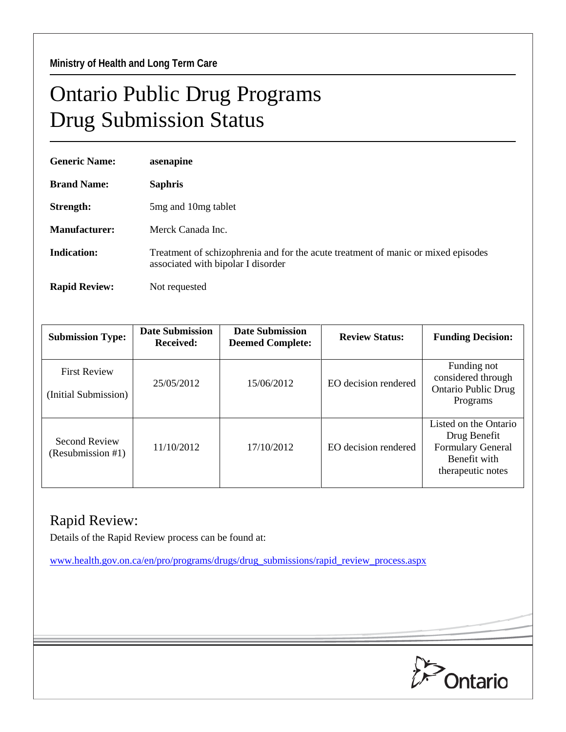## Ontario Public Drug Programs Drug Submission Status

| <b>Generic Name:</b> | asenapine                                                                                                               |  |  |
|----------------------|-------------------------------------------------------------------------------------------------------------------------|--|--|
| <b>Brand Name:</b>   | <b>Saphris</b>                                                                                                          |  |  |
| Strength:            | 5mg and 10mg tablet                                                                                                     |  |  |
| Manufacturer:        | Merck Canada Inc.                                                                                                       |  |  |
| Indication:          | Treatment of schizophrenia and for the acute treatment of manic or mixed episodes<br>associated with bipolar I disorder |  |  |
| <b>Rapid Review:</b> | Not requested                                                                                                           |  |  |

| <b>Submission Type:</b>                     | <b>Date Submission</b><br><b>Received:</b> | <b>Date Submission</b><br><b>Deemed Complete:</b> | <b>Review Status:</b> | <b>Funding Decision:</b>                                                                               |
|---------------------------------------------|--------------------------------------------|---------------------------------------------------|-----------------------|--------------------------------------------------------------------------------------------------------|
| <b>First Review</b><br>(Initial Submission) | 25/05/2012                                 | 15/06/2012                                        | EO decision rendered  | Funding not<br>considered through<br><b>Ontario Public Drug</b><br>Programs                            |
| <b>Second Review</b><br>(Resubmission #1)   | 11/10/2012                                 | 17/10/2012                                        | EO decision rendered  | Listed on the Ontario<br>Drug Benefit<br><b>Formulary General</b><br>Benefit with<br>therapeutic notes |

## Rapid Review:

Details of the Rapid Review process can be found at:

[www.health.gov.on.ca/en/pro/programs/drugs/drug\\_submissions/rapid\\_review\\_process.aspx](http://www.health.gov.on.ca/en/pro/programs/drugs/drug_submissions/rapid_review_process.aspx)